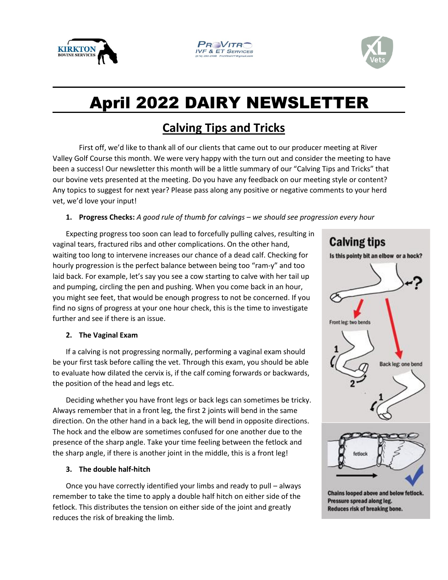





ssss

# April 2022 DAIRY NEWSLETTER

## **Calving Tips and Tricks**

First off, we'd like to thank all of our clients that came out to our producer meeting at River Valley Golf Course this month. We were very happy with the turn out and consider the meeting to have been a success! Our newsletter this month will be a little summary of our "Calving Tips and Tricks" that our bovine vets presented at the meeting. Do you have any feedback on our meeting style or content? Any topics to suggest for next year? Please pass along any positive or negative comments to your herd vet, we'd love your input!

### **1. Progress Checks:** *A good rule of thumb for calvings – we should see progression every hour*

Expecting progress too soon can lead to forcefully pulling calves, resulting in vaginal tears, fractured ribs and other complications. On the other hand, waiting too long to intervene increases our chance of a dead calf. Checking for hourly progression is the perfect balance between being too "ram-y" and too laid back. For example, let's say you see a cow starting to calve with her tail up and pumping, circling the pen and pushing. When you come back in an hour, you might see feet, that would be enough progress to not be concerned. If you find no signs of progress at your one hour check, this is the time to investigate further and see if there is an issue.

#### **2. The Vaginal Exam**

If a calving is not progressing normally, performing a vaginal exam should be your first task before calling the vet. Through this exam, you should be able to evaluate how dilated the cervix is, if the calf coming forwards or backwards, the position of the head and legs etc.

Deciding whether you have front legs or back legs can sometimes be tricky. Always remember that in a front leg, the first 2 joints will bend in the same direction. On the other hand in a back leg, the will bend in opposite directions. The hock and the elbow are sometimes confused for one another due to the presence of the sharp angle. Take your time feeling between the fetlock and the sharp angle, if there is another joint in the middle, this is a front leg!

#### **3. The double half-hitch**

Once you have correctly identified your limbs and ready to pull – always remember to take the time to apply a double half hitch on either side of the fetlock. This distributes the tension on either side of the joint and greatly reduces the risk of breaking the limb.



Chains looped above and below fetlock. Pressure spread along leg. Reduces risk of breaking bone.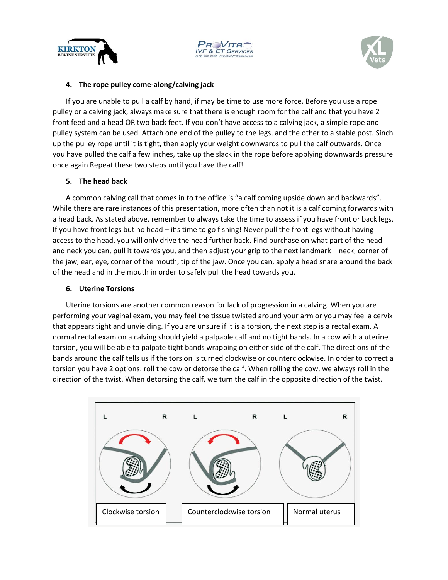





#### **4. The rope pulley come-along/calving jack**

If you are unable to pull a calf by hand, if may be time to use more force. Before you use a rope pulley or a calving jack, always make sure that there is enough room for the calf and that you have 2 front feed and a head OR two back feet. If you don't have access to a calving jack, a simple rope and pulley system can be used. Attach one end of the pulley to the legs, and the other to a stable post. Sinch up the pulley rope until it is tight, then apply your weight downwards to pull the calf outwards. Once you have pulled the calf a few inches, take up the slack in the rope before applying downwards pressure once again Repeat these two steps until you have the calf!

#### **5. The head back**

A common calving call that comes in to the office is "a calf coming upside down and backwards". While there are rare instances of this presentation, more often than not it is a calf coming forwards with a head back. As stated above, remember to always take the time to assess if you have front or back legs. If you have front legs but no head – it's time to go fishing! Never pull the front legs without having access to the head, you will only drive the head further back. Find purchase on what part of the head and neck you can, pull it towards you, and then adjust your grip to the next landmark – neck, corner of the jaw, ear, eye, corner of the mouth, tip of the jaw. Once you can, apply a head snare around the back of the head and in the mouth in order to safely pull the head towards you.

#### **6. Uterine Torsions**

Uterine torsions are another common reason for lack of progression in a calving. When you are performing your vaginal exam, you may feel the tissue twisted around your arm or you may feel a cervix that appears tight and unyielding. If you are unsure if it is a torsion, the next step is a rectal exam. A normal rectal exam on a calving should yield a palpable calf and no tight bands. In a cow with a uterine torsion, you will be able to palpate tight bands wrapping on either side of the calf. The directions of the bands around the calf tells us if the torsion is turned clockwise or counterclockwise. In order to correct a torsion you have 2 options: roll the cow or detorse the calf. When rolling the cow, we always roll in the direction of the twist. When detorsing the calf, we turn the calf in the opposite direction of the twist.